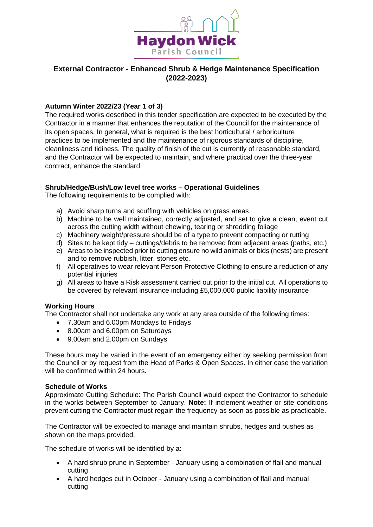

# **External Contractor - Enhanced Shrub & Hedge Maintenance Specification (2022-2023)**

# **Autumn Winter 2022/23 (Year 1 of 3)**

The required works described in this tender specification are expected to be executed by the Contractor in a manner that enhances the reputation of the Council for the maintenance of its open spaces. In general, what is required is the best horticultural / arboriculture practices to be implemented and the maintenance of rigorous standards of discipline, cleanliness and tidiness. The quality of finish of the cut is currently of reasonable standard, and the Contractor will be expected to maintain, and where practical over the three-year contract, enhance the standard.

### **Shrub/Hedge/Bush/Low level tree works – Operational Guidelines**

The following requirements to be complied with:

- a) Avoid sharp turns and scuffing with vehicles on grass areas
- b) Machine to be well maintained, correctly adjusted, and set to give a clean, event cut across the cutting width without chewing, tearing or shredding foliage
- c) Machinery weight/pressure should be of a type to prevent compacting or rutting
- d) Sites to be kept tidy cuttings/debris to be removed from adjacent areas (paths, etc.)
- e) Areas to be inspected prior to cutting ensure no wild animals or bids (nests) are present and to remove rubbish, litter, stones etc.
- f) All operatives to wear relevant Person Protective Clothing to ensure a reduction of any potential injuries
- g) All areas to have a Risk assessment carried out prior to the initial cut. All operations to be covered by relevant insurance including £5,000,000 public liability insurance

### **Working Hours**

The Contractor shall not undertake any work at any area outside of the following times:

- 7.30am and 6.00pm Mondays to Fridays
- 8.00am and 6.00pm on Saturdays
- 9.00am and 2.00pm on Sundays

These hours may be varied in the event of an emergency either by seeking permission from the Council or by request from the Head of Parks & Open Spaces. In either case the variation will be confirmed within 24 hours.

### **Schedule of Works**

Approximate Cutting Schedule: The Parish Council would expect the Contractor to schedule in the works between September to January. **Note:** If inclement weather or site conditions prevent cutting the Contractor must regain the frequency as soon as possible as practicable.

The Contractor will be expected to manage and maintain shrubs, hedges and bushes as shown on the maps provided.

The schedule of works will be identified by a:

- A hard shrub prune in September January using a combination of flail and manual cutting
- A hard hedges cut in October January using a combination of flail and manual cutting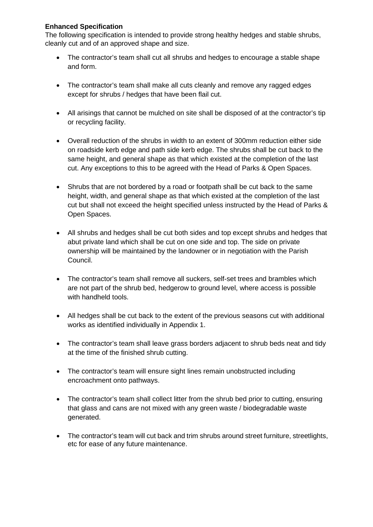# **Enhanced Specification**

The following specification is intended to provide strong healthy hedges and stable shrubs, cleanly cut and of an approved shape and size.

- The contractor's team shall cut all shrubs and hedges to encourage a stable shape and form.
- The contractor's team shall make all cuts cleanly and remove any ragged edges except for shrubs / hedges that have been flail cut.
- All arisings that cannot be mulched on site shall be disposed of at the contractor's tip or recycling facility.
- Overall reduction of the shrubs in width to an extent of 300mm reduction either side on roadside kerb edge and path side kerb edge. The shrubs shall be cut back to the same height, and general shape as that which existed at the completion of the last cut. Any exceptions to this to be agreed with the Head of Parks & Open Spaces.
- Shrubs that are not bordered by a road or footpath shall be cut back to the same height, width, and general shape as that which existed at the completion of the last cut but shall not exceed the height specified unless instructed by the Head of Parks & Open Spaces.
- All shrubs and hedges shall be cut both sides and top except shrubs and hedges that abut private land which shall be cut on one side and top. The side on private ownership will be maintained by the landowner or in negotiation with the Parish Council.
- The contractor's team shall remove all suckers, self-set trees and brambles which are not part of the shrub bed, hedgerow to ground level, where access is possible with handheld tools.
- All hedges shall be cut back to the extent of the previous seasons cut with additional works as identified individually in Appendix 1.
- The contractor's team shall leave grass borders adjacent to shrub beds neat and tidy at the time of the finished shrub cutting.
- The contractor's team will ensure sight lines remain unobstructed including encroachment onto pathways.
- The contractor's team shall collect litter from the shrub bed prior to cutting, ensuring that glass and cans are not mixed with any green waste / biodegradable waste generated.
- The contractor's team will cut back and trim shrubs around street furniture, streetlights, etc for ease of any future maintenance.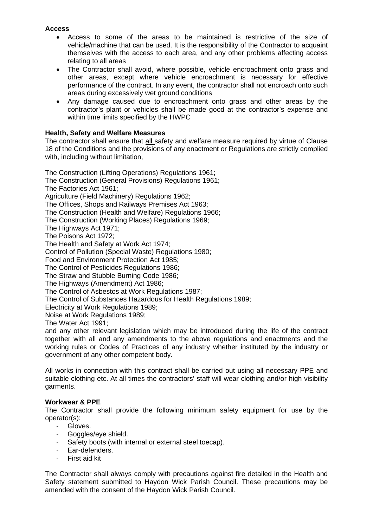### **Access**

- Access to some of the areas to be maintained is restrictive of the size of vehicle/machine that can be used. It is the responsibility of the Contractor to acquaint themselves with the access to each area, and any other problems affecting access relating to all areas
- The Contractor shall avoid, where possible, vehicle encroachment onto grass and other areas, except where vehicle encroachment is necessary for effective performance of the contract. In any event, the contractor shall not encroach onto such areas during excessively wet ground conditions
- Any damage caused due to encroachment onto grass and other areas by the contractor's plant or vehicles shall be made good at the contractor's expense and within time limits specified by the HWPC

# **Health, Safety and Welfare Measures**

The contractor shall ensure that all safety and welfare measure required by virtue of Clause 18 of the Conditions and the provisions of any enactment or Regulations are strictly complied with, including without limitation,

The Construction (Lifting Operations) Regulations 1961; The Construction (General Provisions) Regulations 1961; The Factories Act 1961; Agriculture (Field Machinery) Regulations 1962; The Offices, Shops and Railways Premises Act 1963; The Construction (Health and Welfare) Regulations 1966; The Construction (Working Places) Regulations 1969; The Highways Act 1971; The Poisons Act 1972; The Health and Safety at Work Act 1974; Control of Pollution (Special Waste) Regulations 1980; Food and Environment Protection Act 1985; The Control of Pesticides Regulations 1986; The Straw and Stubble Burning Code 1986; The Highways (Amendment) Act 1986; The Control of Asbestos at Work Regulations 1987; The Control of Substances Hazardous for Health Regulations 1989; Electricity at Work Regulations 1989; Noise at Work Regulations 1989;

The Water Act 1991;

and any other relevant legislation which may be introduced during the life of the contract together with all and any amendments to the above regulations and enactments and the working rules or Codes of Practices of any industry whether instituted by the industry or government of any other competent body.

All works in connection with this contract shall be carried out using all necessary PPE and suitable clothing etc. At all times the contractors' staff will wear clothing and/or high visibility garments.

### **Workwear & PPE**

The Contractor shall provide the following minimum safety equipment for use by the operator(s):

- Gloves.
- Goggles/eye shield.
- Safety boots (with internal or external steel toecap).
- Ear-defenders.
- First aid kit

The Contractor shall always comply with precautions against fire detailed in the Health and Safety statement submitted to Haydon Wick Parish Council. These precautions may be amended with the consent of the Haydon Wick Parish Council.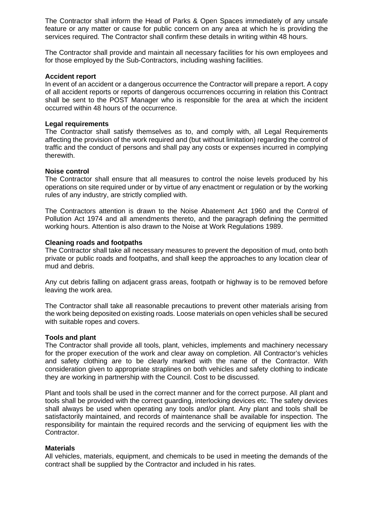The Contractor shall inform the Head of Parks & Open Spaces immediately of any unsafe feature or any matter or cause for public concern on any area at which he is providing the services required. The Contractor shall confirm these details in writing within 48 hours.

The Contractor shall provide and maintain all necessary facilities for his own employees and for those employed by the Sub-Contractors, including washing facilities.

#### **Accident report**

In event of an accident or a dangerous occurrence the Contractor will prepare a report. A copy of all accident reports or reports of dangerous occurrences occurring in relation this Contract shall be sent to the POST Manager who is responsible for the area at which the incident occurred within 48 hours of the occurrence.

#### **Legal requirements**

The Contractor shall satisfy themselves as to, and comply with, all Legal Requirements affecting the provision of the work required and (but without limitation) regarding the control of traffic and the conduct of persons and shall pay any costs or expenses incurred in complying therewith.

#### **Noise control**

The Contractor shall ensure that all measures to control the noise levels produced by his operations on site required under or by virtue of any enactment or regulation or by the working rules of any industry, are strictly complied with.

The Contractors attention is drawn to the Noise Abatement Act 1960 and the Control of Pollution Act 1974 and all amendments thereto, and the paragraph defining the permitted working hours. Attention is also drawn to the Noise at Work Regulations 1989.

#### **Cleaning roads and footpaths**

The Contractor shall take all necessary measures to prevent the deposition of mud, onto both private or public roads and footpaths, and shall keep the approaches to any location clear of mud and debris.

Any cut debris falling on adjacent grass areas, footpath or highway is to be removed before leaving the work area.

The Contractor shall take all reasonable precautions to prevent other materials arising from the work being deposited on existing roads. Loose materials on open vehicles shall be secured with suitable ropes and covers.

#### **Tools and plant**

The Contractor shall provide all tools, plant, vehicles, implements and machinery necessary for the proper execution of the work and clear away on completion. All Contractor's vehicles and safety clothing are to be clearly marked with the name of the Contractor. With consideration given to appropriate straplines on both vehicles and safety clothing to indicate they are working in partnership with the Council. Cost to be discussed.

Plant and tools shall be used in the correct manner and for the correct purpose. All plant and tools shall be provided with the correct guarding, interlocking devices etc. The safety devices shall always be used when operating any tools and/or plant. Any plant and tools shall be satisfactorily maintained, and records of maintenance shall be available for inspection. The responsibility for maintain the required records and the servicing of equipment lies with the Contractor.

#### **Materials**

All vehicles, materials, equipment, and chemicals to be used in meeting the demands of the contract shall be supplied by the Contractor and included in his rates.